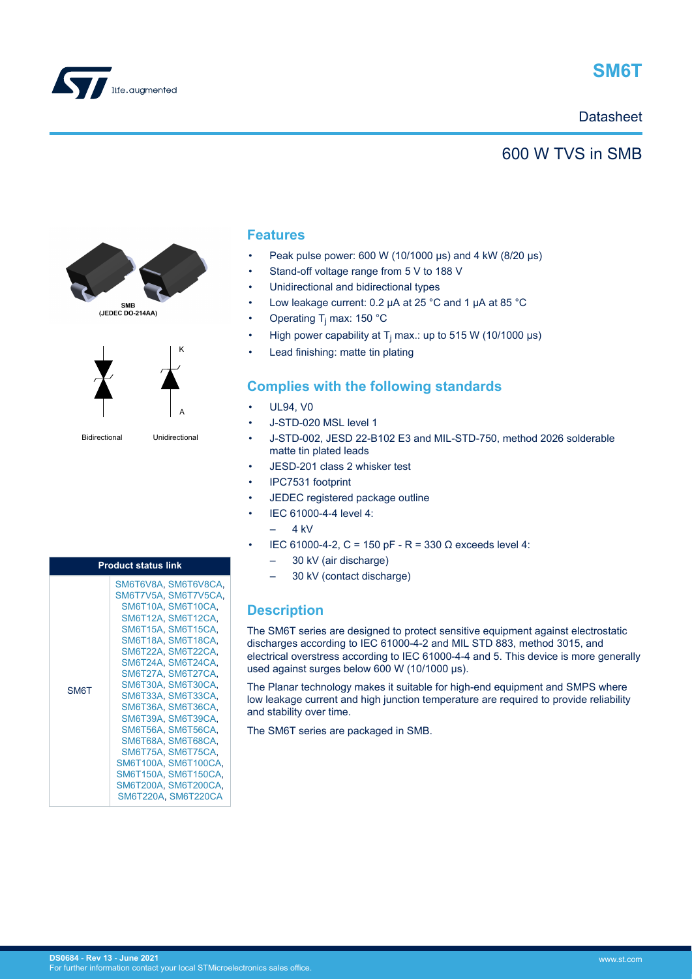



## **Datasheet**

## 600 W TVS in SMB





Bidirectional Unidirectional

A

K

### **Features**

- Peak pulse power: 600 W (10/1000 μs) and 4 kW (8/20 μs)
- Stand-off voltage range from 5 V to 188 V
- Unidirectional and bidirectional types
- Low leakage current: 0.2 μA at 25 °C and 1 μA at 85 °C
- Operating T<sub>j</sub> max: 150 °C
- High power capability at T<sub>j</sub> max.: up to 515 W (10/1000 µs)
- Lead finishing: matte tin plating

## **Complies with the following standards**

- UL94, VO
- J-STD-020 MSL level 1
- J-STD-002, JESD 22-B102 E3 and MIL-STD-750, method 2026 solderable matte tin plated leads
- JESD-201 class 2 whisker test
- IPC7531 footprint
- JEDEC registered package outline
- IEC 61000-4-4 level 4:
	- $-4$  kV
- IEC 61000-4-2, C = 150 pF R = 330 Ω exceeds level 4:
	- 30 kV (air discharge)
	- 30 kV (contact discharge)

## **Description**

The SM6T series are designed to protect sensitive equipment against electrostatic discharges according to IEC 61000-4-2 and MIL STD 883, method 3015, and electrical overstress according to IEC 61000-4-4 and 5. This device is more generally used against surges below 600 W (10/1000 μs).

The Planar technology makes it suitable for high-end equipment and SMPS where low leakage current and high junction temperature are required to provide reliability and stability over time.

The SM6T series are packaged in SMB.

| <b>Product status link</b> |                                                                                                                                                                                                                                                                                                                                                                                                                                                        |  |  |  |  |
|----------------------------|--------------------------------------------------------------------------------------------------------------------------------------------------------------------------------------------------------------------------------------------------------------------------------------------------------------------------------------------------------------------------------------------------------------------------------------------------------|--|--|--|--|
| <b>SM6T</b>                | SM6T6V8A, SM6T6V8CA,<br>SM6T7V5A, SM6T7V5CA,<br>SM6T10A SM6T10CA.<br>SM6T12A SM6T12CA.<br>SM6T15A, SM6T15CA,<br>SM6T18A SM6T18CA.<br>SM6T22A, SM6T22CA,<br>SM6T24A SM6T24CA.<br>SM6T27A SM6T27CA.<br>SM6T30A, SM6T30CA,<br>SM6T33A SM6T33CA.<br>SM6T36A, SM6T36CA,<br>SM6T39A, SM6T39CA,<br>SM6T56A SM6T56CA.<br>SM6T68A, SM6T68CA,<br>SM6T75A SM6T75CA.<br>SM6T100A, SM6T100CA,<br>SM6T150A, SM6T150CA,<br>SM6T200A, SM6T200CA,<br>SM6T220A SM6T220CA |  |  |  |  |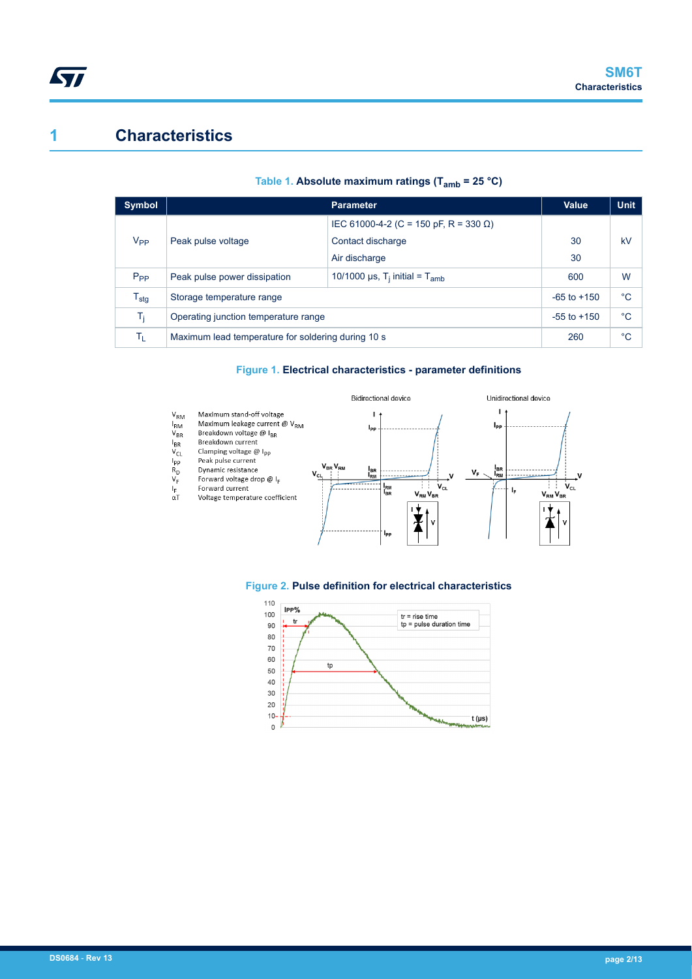## **1 Characteristics**

| <b>Symbol</b>    |                                                    | <b>Value</b>                                               | <b>Unit</b> |    |
|------------------|----------------------------------------------------|------------------------------------------------------------|-------------|----|
|                  |                                                    | IEC 61000-4-2 (C = 150 pF, R = 330 Ω)                      |             |    |
| V <sub>PP</sub>  | Peak pulse voltage                                 | Contact discharge                                          | 30          | kV |
|                  |                                                    | Air discharge                                              | 30          |    |
| $P_{PP}$         | Peak pulse power dissipation                       | 10/1000 $\mu$ s, T <sub>i</sub> initial = T <sub>amb</sub> | 600         | W  |
| $T_{\text{stg}}$ | Storage temperature range                          | $-65$ to $+150$                                            | °C          |    |
| T,               | Operating junction temperature range               | $-55$ to $+150$                                            | °C          |    |
| Tī.              | Maximum lead temperature for soldering during 10 s | 260                                                        | °C          |    |

#### **Table 1. Absolute maximum ratings (Tamb = 25 °C)**

#### **Figure 1. Electrical characteristics - parameter definitions**





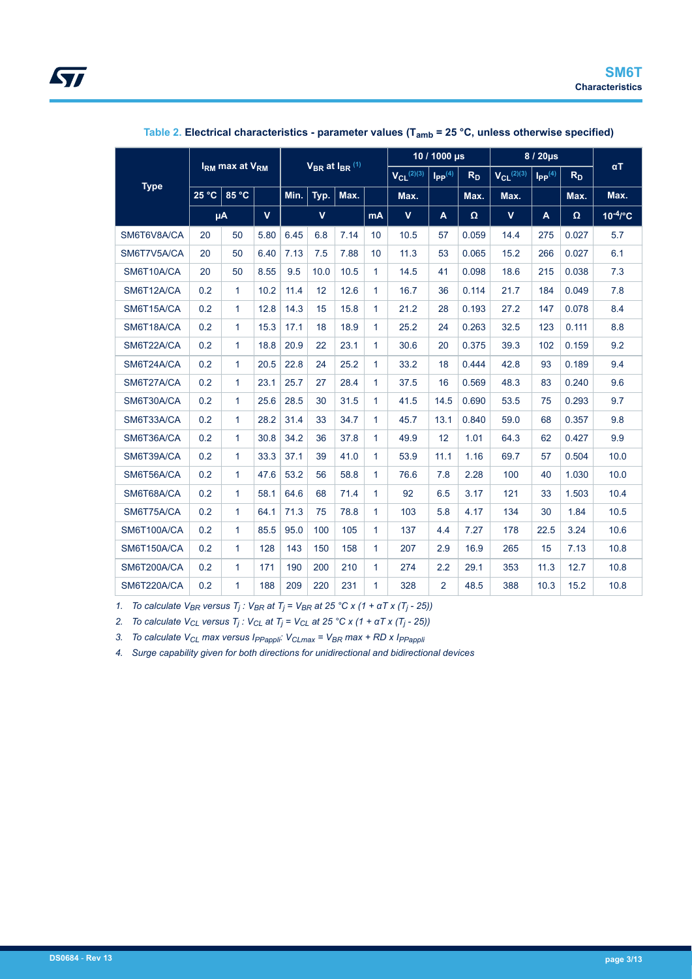|                               |     |                                        |              | $V_{BR}$ at $I_{BR}$ <sup>(1)</sup> |             |      |                 | 10 / 1000 µs               |                                  | 8 / 20µs       |                            |                         |       |               |
|-------------------------------|-----|----------------------------------------|--------------|-------------------------------------|-------------|------|-----------------|----------------------------|----------------------------------|----------------|----------------------------|-------------------------|-------|---------------|
|                               |     | I <sub>RM</sub> max at V <sub>RM</sub> |              |                                     |             |      |                 | $V_{Cl}$ <sup>(2)(3)</sup> | $\mathsf{I}_{\mathsf{PP}}^{(4)}$ | R <sub>D</sub> | $V_{Cl}$ <sup>(2)(3)</sup> | $I_{PP}$ <sup>(4)</sup> | $R_D$ | $\alpha$ T    |
| <b>Type</b><br>25 °C<br>85 °C |     | Min.                                   | Typ.         | Max.                                |             | Max. |                 | Max.                       | Max.                             |                | Max.                       | Max.                    |       |               |
|                               | μA  |                                        | $\mathbf{v}$ |                                     | $\mathbf v$ |      | mA              | $\mathbf{V}$               | A                                | Ω              | $\mathbf v$                | $\mathbf{A}$            | Ω     | $10^{-4}$ /°C |
| SM6T6V8A/CA                   | 20  | 50                                     | 5.80         | 6.45                                | 6.8         | 7.14 | 10              | 10.5                       | 57                               | 0.059          | 14.4                       | 275                     | 0.027 | 5.7           |
| SM6T7V5A/CA                   | 20  | 50                                     | 6.40         | 7.13                                | 7.5         | 7.88 | 10 <sup>1</sup> | 11.3                       | 53                               | 0.065          | 15.2                       | 266                     | 0.027 | 6.1           |
| SM6T10A/CA                    | 20  | 50                                     | 8.55         | 9.5                                 | 10.0        | 10.5 | $\mathbf{1}$    | 14.5                       | 41                               | 0.098          | 18.6                       | 215                     | 0.038 | 7.3           |
| SM6T12A/CA                    | 0.2 | $\mathbf{1}$                           | 10.2         | 11.4                                | 12          | 12.6 | 1               | 16.7                       | 36                               | 0.114          | 21.7                       | 184                     | 0.049 | 7.8           |
| SM6T15A/CA                    | 0.2 | $\mathbf{1}$                           | 12.8         | 14.3                                | 15          | 15.8 | 1               | 21.2                       | 28                               | 0.193          | 27.2                       | 147                     | 0.078 | 8.4           |
| SM6T18A/CA                    | 0.2 | $\mathbf{1}$                           | 15.3         | 17.1                                | 18          | 18.9 | 1               | 25.2                       | 24                               | 0.263          | 32.5                       | 123                     | 0.111 | 8.8           |
| SM6T22A/CA                    | 0.2 | $\mathbf{1}$                           | 18.8         | 20.9                                | 22          | 23.1 | 1               | 30.6                       | 20                               | 0.375          | 39.3                       | 102                     | 0.159 | 9.2           |
| SM6T24A/CA                    | 0.2 | $\mathbf{1}$                           | 20.5         | 22.8                                | 24          | 25.2 | 1               | 33.2                       | 18                               | 0.444          | 42.8                       | 93                      | 0.189 | 9.4           |
| SM6T27A/CA                    | 0.2 | $\mathbf{1}$                           | 23.1         | 25.7                                | 27          | 28.4 | 1.              | 37.5                       | 16                               | 0.569          | 48.3                       | 83                      | 0.240 | 9.6           |
| SM6T30A/CA                    | 0.2 | $\mathbf{1}$                           | 25.6         | 28.5                                | 30          | 31.5 | 1               | 41.5                       | 14.5                             | 0.690          | 53.5                       | 75                      | 0.293 | 9.7           |
| SM6T33A/CA                    | 0.2 | $\mathbf{1}$                           | 28.2         | 31.4                                | 33          | 34.7 | 1               | 45.7                       | 13.1                             | 0.840          | 59.0                       | 68                      | 0.357 | 9.8           |
| SM6T36A/CA                    | 0.2 | $\mathbf{1}$                           | 30.8         | 34.2                                | 36          | 37.8 | 1               | 49.9                       | 12                               | 1.01           | 64.3                       | 62                      | 0.427 | 9.9           |
| SM6T39A/CA                    | 0.2 | $\mathbf{1}$                           | 33.3         | 37.1                                | 39          | 41.0 | 1               | 53.9                       | 11.1                             | 1.16           | 69.7                       | 57                      | 0.504 | 10.0          |
| SM6T56A/CA                    | 0.2 | $\mathbf{1}$                           | 47.6         | 53.2                                | 56          | 58.8 | 1               | 76.6                       | 7.8                              | 2.28           | 100                        | 40                      | 1.030 | 10.0          |
| SM6T68A/CA                    | 0.2 | $\mathbf{1}$                           | 58.1         | 64.6                                | 68          | 71.4 | 1               | 92                         | 6.5                              | 3.17           | 121                        | 33                      | 1.503 | 10.4          |
| SM6T75A/CA                    | 0.2 | $\mathbf{1}$                           | 64.1         | 71.3                                | 75          | 78.8 | 1               | 103                        | 5.8                              | 4.17           | 134                        | 30                      | 1.84  | 10.5          |
| SM6T100A/CA                   | 0.2 | $\mathbf{1}$                           | 85.5         | 95.0                                | 100         | 105  | 1               | 137                        | 4.4                              | 7.27           | 178                        | 22.5                    | 3.24  | 10.6          |
| SM6T150A/CA                   | 0.2 | $\mathbf{1}$                           | 128          | 143                                 | 150         | 158  | 1               | 207                        | 2.9                              | 16.9           | 265                        | 15                      | 7.13  | 10.8          |
| SM6T200A/CA                   | 0.2 | $\mathbf{1}$                           | 171          | 190                                 | 200         | 210  | 1               | 274                        | 2.2                              | 29.1           | 353                        | 11.3                    | 12.7  | 10.8          |
| SM6T220A/CA                   | 0.2 | 1                                      | 188          | 209                                 | 220         | 231  | 1               | 328                        | $\overline{2}$                   | 48.5           | 388                        | 10.3                    | 15.2  | 10.8          |

#### **Table 2. Electrical characteristics - parameter values (Tamb = 25 °C, unless otherwise specified)**

*1. To calculate VBR versus T<sup>j</sup> : VBR at T<sup>j</sup> = VBR at 25 °C x (1 + αT x (T<sup>j</sup> - 25))*

*2. To calculate VCL versus T<sup>j</sup> : VCL at T<sup>j</sup> = VCL at 25 °C x (1 + αT x (T<sup>j</sup> - 25))*

*3. To calculate VCL max versus IPPappli: VCLmax = VBR max + RD x IPPappli*

*4. Surge capability given for both directions for unidirectional and bidirectional devices*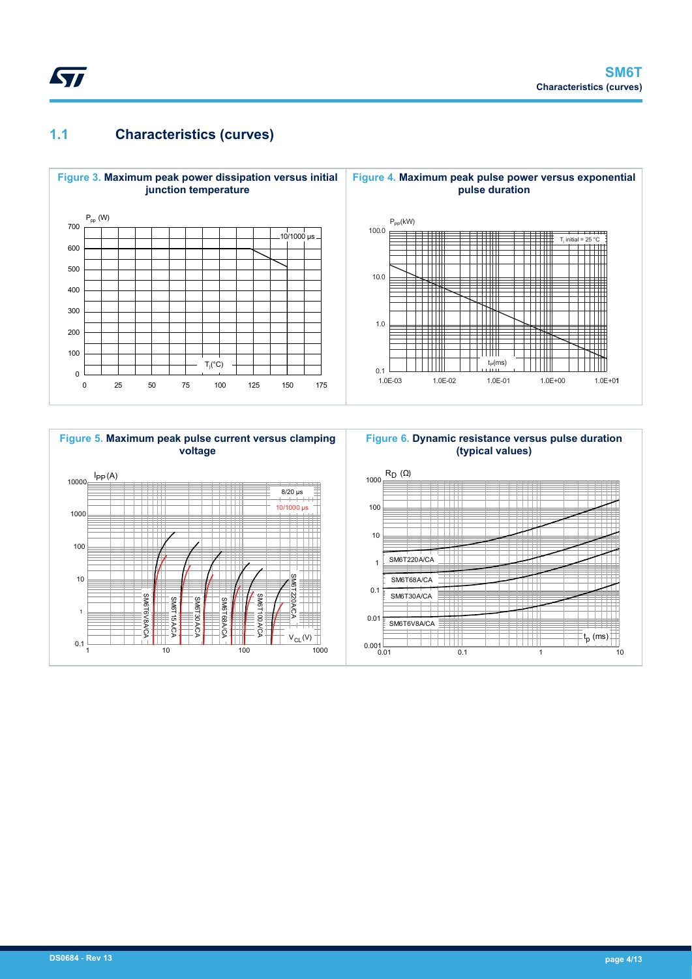## **1.1 Characteristics (curves)**





# **Figure 6. Dynamic resistance versus pulse duration**

t p (ms)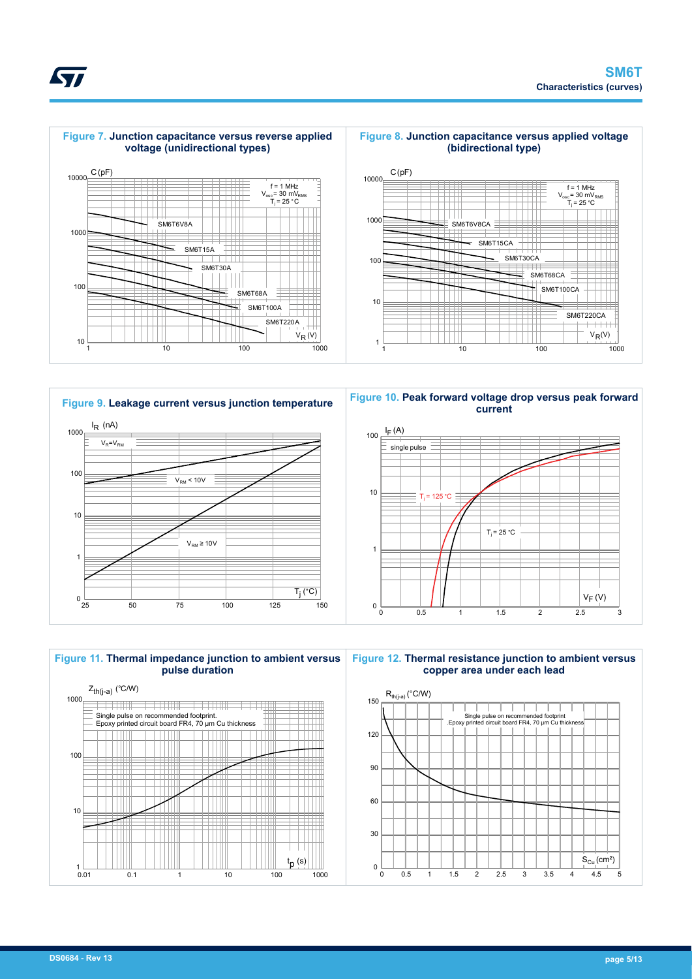













<span id="page-4-0"></span>*EAL*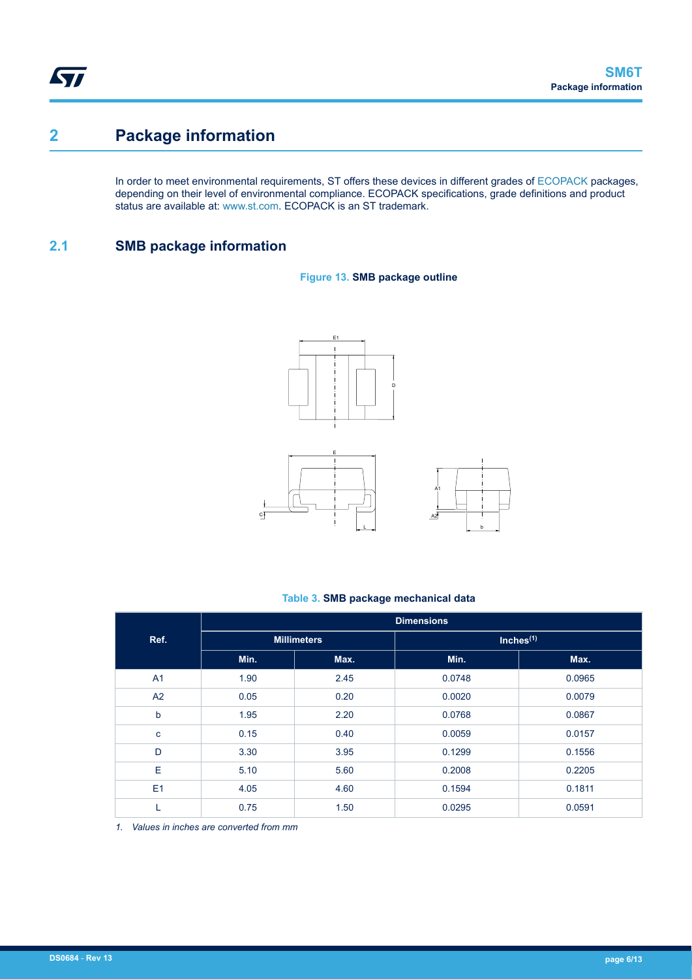## **2 Package information**

In order to meet environmental requirements, ST offers these devices in different grades of [ECOPACK](https://www.st.com/ecopack) packages, depending on their level of environmental compliance. ECOPACK specifications, grade definitions and product status are available at: [www.st.com.](http://www.st.com) ECOPACK is an ST trademark.

## **2.1 SMB package information**

**Figure 13. SMB package outline**



#### **Table 3. SMB package mechanical data**

|                | <b>Dimensions</b> |                    |              |        |  |  |  |
|----------------|-------------------|--------------------|--------------|--------|--|--|--|
| Ref.           |                   | <b>Millimeters</b> | Inches $(1)$ |        |  |  |  |
|                | Min.              | Max.               | Min.         | Max.   |  |  |  |
| A <sub>1</sub> | 1.90              | 2.45               | 0.0748       | 0.0965 |  |  |  |
| A2             | 0.05              | 0.20               | 0.0020       | 0.0079 |  |  |  |
| $\mathbf b$    | 1.95              | 2.20               | 0.0768       | 0.0867 |  |  |  |
| c              | 0.15              | 0.40               | 0.0059       | 0.0157 |  |  |  |
| D              | 3.30              | 3.95               | 0.1299       | 0.1556 |  |  |  |
| E              | 5.10              | 5.60               | 0.2008       | 0.2205 |  |  |  |
| E1             | 4.05              | 4.60               | 0.1594       | 0.1811 |  |  |  |
| L              | 0.75              | 1.50               | 0.0295       | 0.0591 |  |  |  |

*1. Values in inches are converted from mm*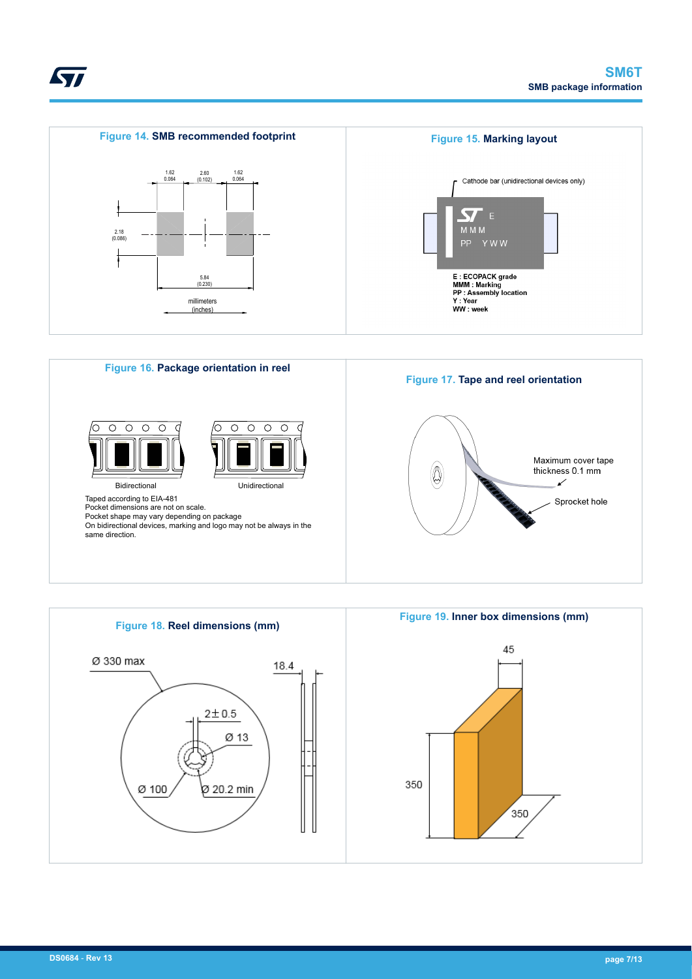





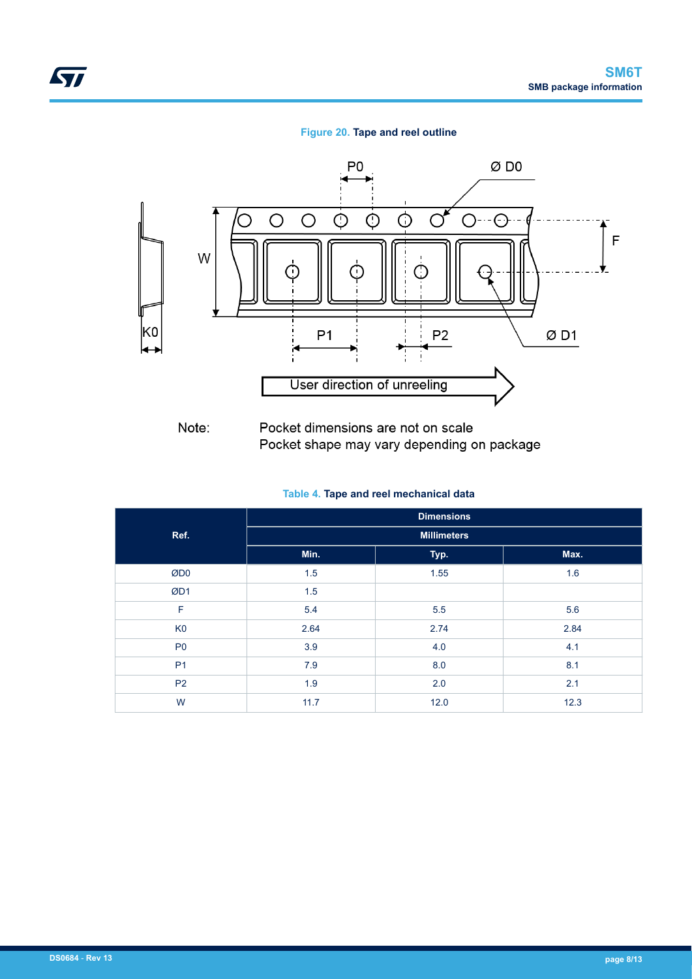#### **Figure 20. Tape and reel outline**



Note: Pocket dimensions are not on scale Pocket shape may vary depending on package

#### **Table 4. Tape and reel mechanical data**

|                | <b>Dimensions</b>  |      |      |  |  |  |  |
|----------------|--------------------|------|------|--|--|--|--|
| Ref.           | <b>Millimeters</b> |      |      |  |  |  |  |
|                | Min.               | Typ. | Max. |  |  |  |  |
| ØD0            | 1.5                | 1.55 | 1.6  |  |  |  |  |
| ØD1            | 1.5                |      |      |  |  |  |  |
| F              | 5.4                | 5.5  | 5.6  |  |  |  |  |
| K <sub>0</sub> | 2.64               | 2.74 | 2.84 |  |  |  |  |
| P <sub>0</sub> | 3.9                | 4.0  | 4.1  |  |  |  |  |
| <b>P1</b>      | 7.9                | 8.0  | 8.1  |  |  |  |  |
| P <sub>2</sub> | 1.9                | 2.0  | 2.1  |  |  |  |  |
| W              | 11.7               | 12.0 | 12.3 |  |  |  |  |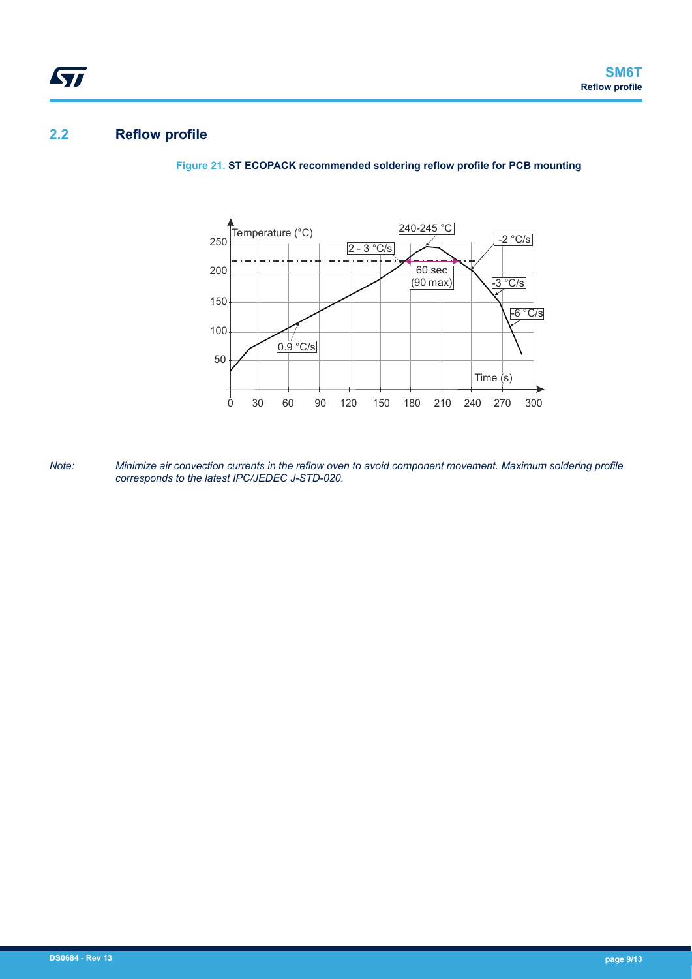## **2.2 Reflow profile**

ST

**Figure 21. ST ECOPACK recommended soldering reflow profile for PCB mounting**



*Note: Minimize air convection currents in the reflow oven to avoid component movement. Maximum soldering profile corresponds to the latest IPC/JEDEC J-STD-020.*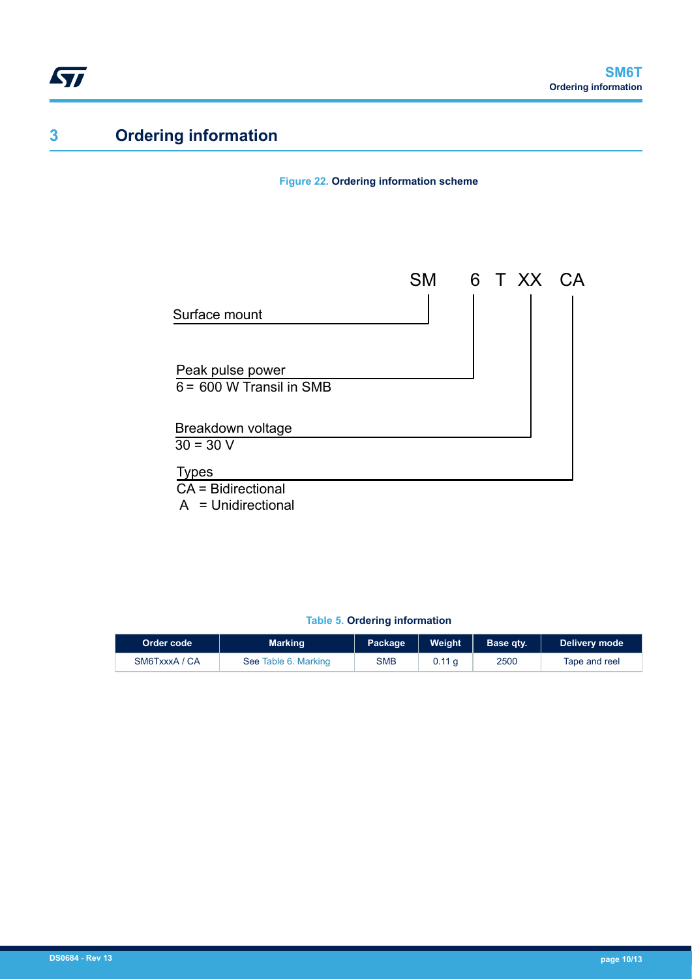## **3 Ordering information**

**Figure 22. Ordering information scheme**



### **Table 5. Ordering information**

| Order code    | <b>Marking</b>       | Package    | <b>Weight</b>     | Base gty. | Delivery mode |
|---------------|----------------------|------------|-------------------|-----------|---------------|
| SM6TxxxA / CA | See Table 6. Marking | <b>SMB</b> | 0.11 <sub>a</sub> | 2500      | Tape and reel |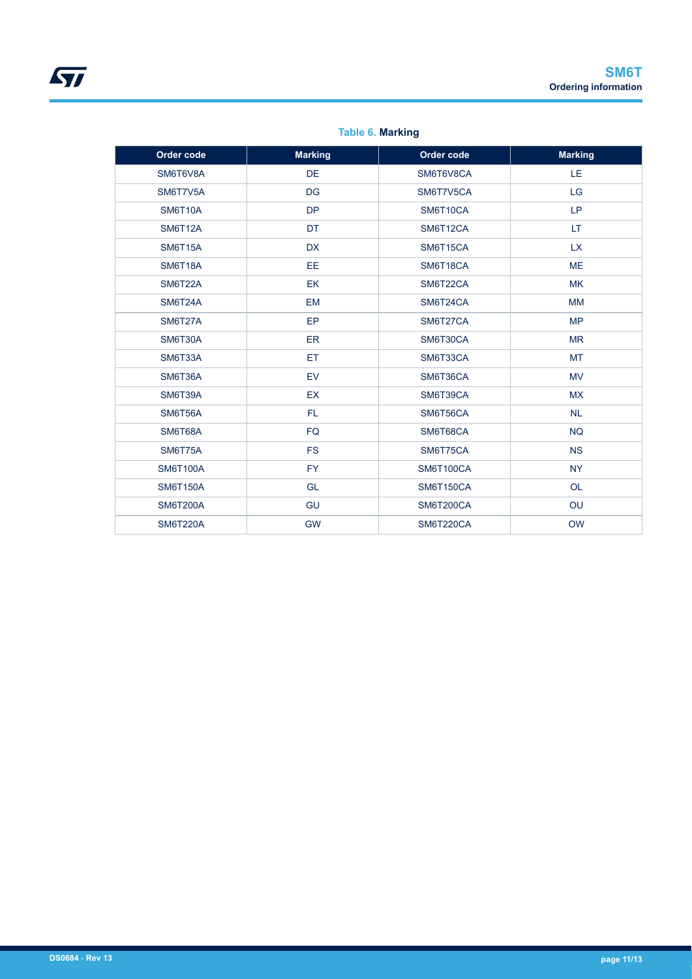<span id="page-10-0"></span>

| Order code      | <b>Marking</b> | Order code       | <b>Marking</b> |
|-----------------|----------------|------------------|----------------|
| SM6T6V8A        | <b>DE</b>      | SM6T6V8CA        | LE             |
| SM6T7V5A        | <b>DG</b>      | SM6T7V5CA        | <b>LG</b>      |
| <b>SM6T10A</b>  | <b>DP</b>      | SM6T10CA         | LP             |
| <b>SM6T12A</b>  | DT             | SM6T12CA         | LT.            |
| <b>SM6T15A</b>  | <b>DX</b>      | SM6T15CA         | <b>LX</b>      |
| <b>SM6T18A</b>  | <b>EE</b>      | SM6T18CA         | <b>ME</b>      |
| <b>SM6T22A</b>  | EK             | SM6T22CA         | <b>MK</b>      |
| <b>SM6T24A</b>  | <b>EM</b>      | SM6T24CA         | <b>MM</b>      |
| <b>SM6T27A</b>  | EP             | SM6T27CA         | <b>MP</b>      |
| <b>SM6T30A</b>  | <b>ER</b>      | SM6T30CA         | <b>MR</b>      |
| <b>SM6T33A</b>  | ET             | SM6T33CA         | <b>MT</b>      |
| SM6T36A         | <b>EV</b>      | SM6T36CA         | <b>MV</b>      |
| <b>SM6T39A</b>  | <b>EX</b>      | SM6T39CA         | <b>MX</b>      |
| <b>SM6T56A</b>  | FL.            | SM6T56CA         | <b>NL</b>      |
| <b>SM6T68A</b>  | <b>FQ</b>      | SM6T68CA         | <b>NQ</b>      |
| <b>SM6T75A</b>  | <b>FS</b>      | SM6T75CA         | <b>NS</b>      |
| <b>SM6T100A</b> | <b>FY</b>      | <b>SM6T100CA</b> | <b>NY</b>      |
| <b>SM6T150A</b> | <b>GL</b>      | <b>SM6T150CA</b> | <b>OL</b>      |
| <b>SM6T200A</b> | GU             | <b>SM6T200CA</b> | OU             |
| <b>SM6T220A</b> | <b>GW</b>      | SM6T220CA        | <b>OW</b>      |

### **Table 6. Marking**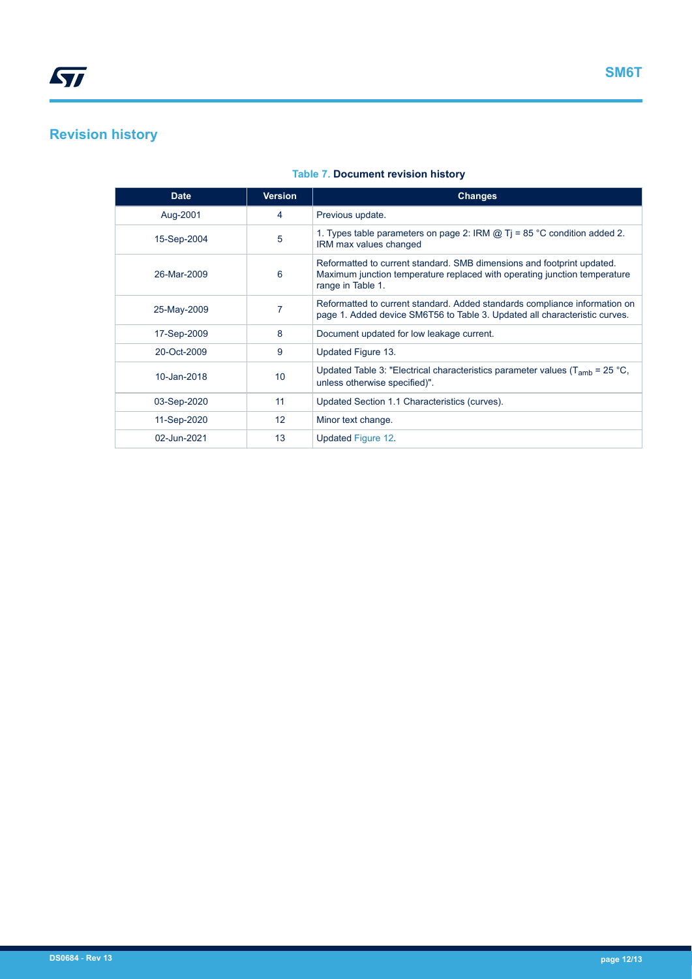## **Revision history**

| <b>Date</b> | <b>Version</b>  | <b>Changes</b>                                                                                                                                                           |
|-------------|-----------------|--------------------------------------------------------------------------------------------------------------------------------------------------------------------------|
| Aug-2001    | 4               | Previous update.                                                                                                                                                         |
| 15-Sep-2004 | 5               | 1. Types table parameters on page 2: IRM $\omega$ Ti = 85 °C condition added 2.<br>IRM max values changed                                                                |
| 26-Mar-2009 | 6               | Reformatted to current standard. SMB dimensions and footprint updated.<br>Maximum junction temperature replaced with operating junction temperature<br>range in Table 1. |
| 25-May-2009 |                 | Reformatted to current standard. Added standards compliance information on<br>page 1. Added device SM6T56 to Table 3. Updated all characteristic curves.                 |
| 17-Sep-2009 | 8               | Document updated for low leakage current.                                                                                                                                |
| 20-Oct-2009 | 9               | Updated Figure 13.                                                                                                                                                       |
| 10-Jan-2018 | 10 <sup>°</sup> | Updated Table 3: "Electrical characteristics parameter values ( $T_{amb}$ = 25 °C,<br>unless otherwise specified)".                                                      |
| 03-Sep-2020 | 11              | Updated Section 1.1 Characteristics (curves).                                                                                                                            |
| 11-Sep-2020 | 12 <sup>2</sup> | Minor text change.                                                                                                                                                       |
| 02-Jun-2021 | 13              | Updated Figure 12.                                                                                                                                                       |

### **Table 7. Document revision history**